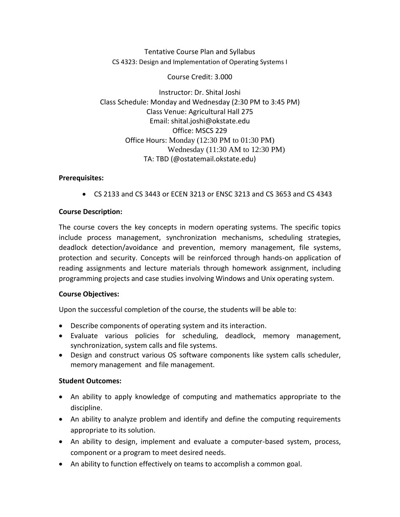Tentative Course Plan and Syllabus CS 4323: Design and Implementation of Operating Systems I

Course Credit: 3.000

Instructor: Dr. Shital Joshi Class Schedule: Monday and Wednesday (2:30 PM to 3:45 PM) Class Venue: Agricultural Hall 275 Email: shital.joshi@okstate.edu Office: MSCS 229 Office Hours: Monday (12:30 PM to 01:30 PM) Wednesday (11:30 AM to 12:30 PM) TA: TBD (@ostatemail.okstate.edu)

# **Prerequisites:**

• CS 2133 and CS 3443 or ECEN 3213 or ENSC 3213 and CS 3653 and CS 4343

# **Course Description:**

The course covers the key concepts in modern operating systems. The specific topics include process management, synchronization mechanisms, scheduling strategies, deadlock detection/avoidance and prevention, memory management, file systems, protection and security. Concepts will be reinforced through hands-on application of reading assignments and lecture materials through homework assignment, including programming projects and case studies involving Windows and Unix operating system.

#### **Course Objectives:**

Upon the successful completion of the course, the students will be able to:

- Describe components of operating system and its interaction.
- Evaluate various policies for scheduling, deadlock, memory management, synchronization, system calls and file systems.
- Design and construct various OS software components like system calls scheduler, memory management and file management.

#### **Student Outcomes:**

- An ability to apply knowledge of computing and mathematics appropriate to the discipline.
- An ability to analyze problem and identify and define the computing requirements appropriate to its solution.
- An ability to design, implement and evaluate a computer-based system, process, component or a program to meet desired needs.
- An ability to function effectively on teams to accomplish a common goal.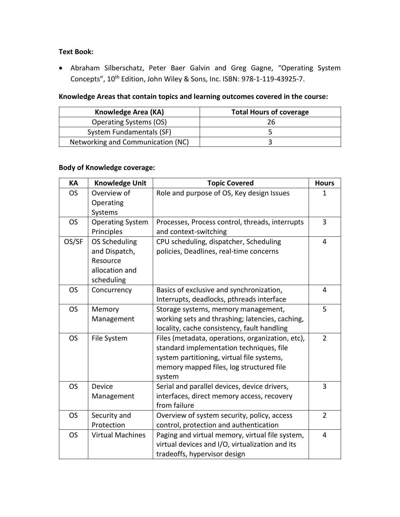# **Text Book:**

• Abraham Silberschatz, Peter Baer Galvin and Greg Gagne, "Operating System Concepts", 10<sup>th</sup> Edition, John Wiley & Sons, Inc. ISBN: 978-1-119-43925-7.

# **Knowledge Areas that contain topics and learning outcomes covered in the course:**

| Knowledge Area (KA)               | <b>Total Hours of coverage</b> |
|-----------------------------------|--------------------------------|
| <b>Operating Systems (OS)</b>     | 26                             |
| System Fundamentals (SF)          |                                |
| Networking and Communication (NC) |                                |

# **Body of Knowledge coverage:**

| KA        | <b>Knowledge Unit</b>   | <b>Topic Covered</b>                             | <b>Hours</b>   |
|-----------|-------------------------|--------------------------------------------------|----------------|
| <b>OS</b> | Overview of             | Role and purpose of OS, Key design Issues        | 1              |
|           | Operating               |                                                  |                |
|           | Systems                 |                                                  |                |
| <b>OS</b> | <b>Operating System</b> | Processes, Process control, threads, interrupts  | 3              |
|           | Principles              | and context-switching                            |                |
| OS/SF     | OS Scheduling           | CPU scheduling, dispatcher, Scheduling           | $\overline{4}$ |
|           | and Dispatch,           | policies, Deadlines, real-time concerns          |                |
|           | Resource                |                                                  |                |
|           | allocation and          |                                                  |                |
|           | scheduling              |                                                  |                |
| <b>OS</b> | Concurrency             | Basics of exclusive and synchronization,         | 4              |
|           |                         | Interrupts, deadlocks, pthreads interface        |                |
| <b>OS</b> | Memory                  | Storage systems, memory management,              | 5              |
|           | Management              | working sets and thrashing; latencies, caching,  |                |
|           |                         | locality, cache consistency, fault handling      |                |
| <b>OS</b> | File System             | Files (metadata, operations, organization, etc), | $\overline{2}$ |
|           |                         | standard implementation techniques, file         |                |
|           |                         | system partitioning, virtual file systems,       |                |
|           |                         | memory mapped files, log structured file         |                |
|           |                         | system                                           |                |
| <b>OS</b> | Device                  | Serial and parallel devices, device drivers,     | 3              |
|           | Management              | interfaces, direct memory access, recovery       |                |
|           |                         | from failure                                     |                |
| <b>OS</b> | Security and            | Overview of system security, policy, access      | $\overline{2}$ |
|           | Protection              | control, protection and authentication           |                |
| <b>OS</b> | <b>Virtual Machines</b> | Paging and virtual memory, virtual file system,  | 4              |
|           |                         | virtual devices and I/O, virtualization and its  |                |
|           |                         | tradeoffs, hypervisor design                     |                |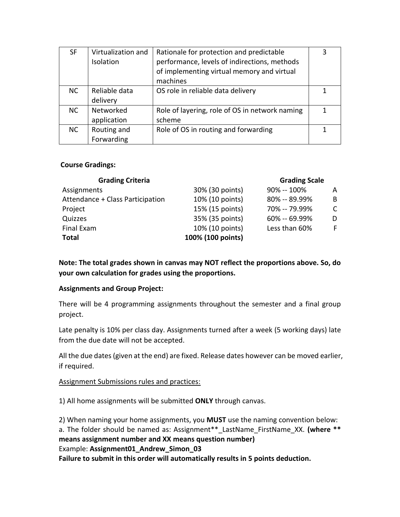| SF        | Virtualization and<br>Isolation | Rationale for protection and predictable<br>performance, levels of indirections, methods<br>of implementing virtual memory and virtual<br>machines | 3 |
|-----------|---------------------------------|----------------------------------------------------------------------------------------------------------------------------------------------------|---|
| NC.       | Reliable data<br>delivery       | OS role in reliable data delivery                                                                                                                  |   |
| <b>NC</b> | Networked<br>application        | Role of layering, role of OS in network naming<br>scheme                                                                                           |   |
| <b>NC</b> | Routing and<br>Forwarding       | Role of OS in routing and forwarding                                                                                                               |   |

#### **Course Gradings:**

| <b>Grading Criteria</b>          |                   | <b>Grading Scale</b> |    |
|----------------------------------|-------------------|----------------------|----|
| Assignments                      | 30% (30 points)   | 90% -- 100%          | A  |
| Attendance + Class Participation | 10% (10 points)   | 80% -- 89.99%        | B  |
| Project                          | 15% (15 points)   | 70% -- 79.99%        | C  |
| Quizzes                          | 35% (35 points)   | $60\% - 69.99\%$     | D  |
| Final Exam                       | 10% (10 points)   | Less than 60%        | F. |
| <b>Total</b>                     | 100% (100 points) |                      |    |

**Note: The total grades shown in canvas may NOT reflect the proportions above. So, do your own calculation for grades using the proportions.**

#### **Assignments and Group Project:**

There will be 4 programming assignments throughout the semester and a final group project.

Late penalty is 10% per class day. Assignments turned after a week (5 working days) late from the due date will not be accepted.

All the due dates (given at the end) are fixed. Release dates however can be moved earlier, if required.

#### Assignment Submissions rules and practices:

1) All home assignments will be submitted **ONLY** through canvas.

2) When naming your home assignments, you **MUST** use the naming convention below: a. The folder should be named as: Assignment\*\*\_LastName\_FirstName\_XX. **(where \*\* means assignment number and XX means question number)**  Example: **Assignment01\_Andrew\_Simon\_03 Failure to submit in this order will automatically results in 5 points deduction.**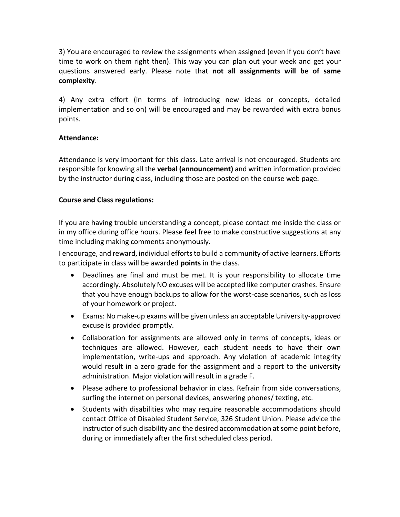3) You are encouraged to review the assignments when assigned (even if you don't have time to work on them right then). This way you can plan out your week and get your questions answered early. Please note that **not all assignments will be of same complexity**.

4) Any extra effort (in terms of introducing new ideas or concepts, detailed implementation and so on) will be encouraged and may be rewarded with extra bonus points.

# **Attendance:**

Attendance is very important for this class. Late arrival is not encouraged. Students are responsible for knowing all the **verbal (announcement)** and written information provided by the instructor during class, including those are posted on the course web page.

# **Course and Class regulations:**

If you are having trouble understanding a concept, please contact me inside the class or in my office during office hours. Please feel free to make constructive suggestions at any time including making comments anonymously.

I encourage, and reward, individual efforts to build a community of active learners. Efforts to participate in class will be awarded **points** in the class.

- Deadlines are final and must be met. It is your responsibility to allocate time accordingly. Absolutely NO excuses will be accepted like computer crashes. Ensure that you have enough backups to allow for the worst-case scenarios, such as loss of your homework or project.
- Exams: No make-up exams will be given unless an acceptable University-approved excuse is provided promptly.
- Collaboration for assignments are allowed only in terms of concepts, ideas or techniques are allowed. However, each student needs to have their own implementation, write-ups and approach. Any violation of academic integrity would result in a zero grade for the assignment and a report to the university administration. Major violation will result in a grade F.
- Please adhere to professional behavior in class. Refrain from side conversations, surfing the internet on personal devices, answering phones/ texting, etc.
- Students with disabilities who may require reasonable accommodations should contact Office of Disabled Student Service, 326 Student Union. Please advice the instructor of such disability and the desired accommodation at some point before, during or immediately after the first scheduled class period.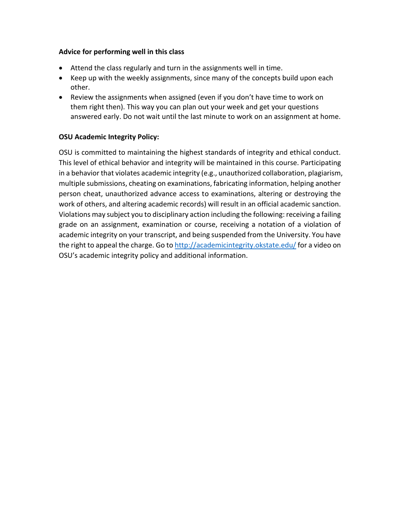#### **Advice for performing well in this class**

- Attend the class regularly and turn in the assignments well in time.
- Keep up with the weekly assignments, since many of the concepts build upon each other.
- Review the assignments when assigned (even if you don't have time to work on them right then). This way you can plan out your week and get your questions answered early. Do not wait until the last minute to work on an assignment at home.

# **OSU Academic Integrity Policy:**

OSU is committed to maintaining the highest standards of integrity and ethical conduct. This level of ethical behavior and integrity will be maintained in this course. Participating in a behavior that violates academic integrity (e.g., unauthorized collaboration, plagiarism, multiple submissions, cheating on examinations, fabricating information, helping another person cheat, unauthorized advance access to examinations, altering or destroying the work of others, and altering academic records) will result in an official academic sanction. Violations may subject you to disciplinary action including the following: receiving a failing grade on an assignment, examination or course, receiving a notation of a violation of academic integrity on your transcript, and being suspended from the University. You have the right to appeal the charge. Go t[o http://academicintegrity.okstate.edu/](http://academicintegrity.okstate.edu/) for a video on OSU's academic integrity policy and additional information.